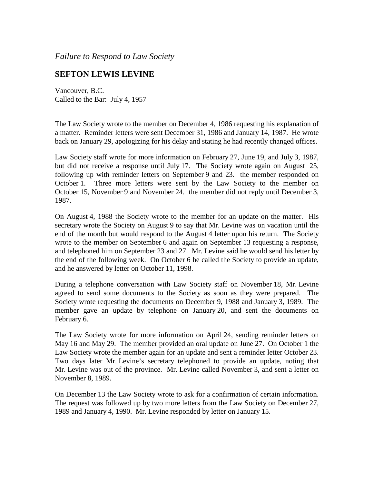*Failure to Respond to Law Society*

## **SEFTON LEWIS LEVINE**

Vancouver, B.C. Called to the Bar: July 4, 1957

The Law Society wrote to the member on December 4, 1986 requesting his explanation of a matter. Reminder letters were sent December 31, 1986 and January 14, 1987. He wrote back on January 29, apologizing for his delay and stating he had recently changed offices.

Law Society staff wrote for more information on February 27, June 19, and July 3, 1987, but did not receive a response until July 17. The Society wrote again on August 25, following up with reminder letters on September 9 and 23. the member responded on October 1. Three more letters were sent by the Law Society to the member on October 15, November 9 and November 24. the member did not reply until December 3, 1987.

On August 4, 1988 the Society wrote to the member for an update on the matter. His secretary wrote the Society on August 9 to say that Mr. Levine was on vacation until the end of the month but would respond to the August 4 letter upon his return. The Society wrote to the member on September 6 and again on September 13 requesting a response, and telephoned him on September 23 and 27. Mr. Levine said he would send his letter by the end of the following week. On October 6 he called the Society to provide an update, and he answered by letter on October 11, 1998.

During a telephone conversation with Law Society staff on November 18, Mr. Levine agreed to send some documents to the Society as soon as they were prepared. The Society wrote requesting the documents on December 9, 1988 and January 3, 1989. The member gave an update by telephone on January 20, and sent the documents on February 6.

The Law Society wrote for more information on April 24, sending reminder letters on May 16 and May 29. The member provided an oral update on June 27. On October 1 the Law Society wrote the member again for an update and sent a reminder letter October 23. Two days later Mr. Levine's secretary telephoned to provide an update, noting that Mr. Levine was out of the province. Mr. Levine called November 3, and sent a letter on November 8, 1989.

On December 13 the Law Society wrote to ask for a confirmation of certain information. The request was followed up by two more letters from the Law Society on December 27, 1989 and January 4, 1990. Mr. Levine responded by letter on January 15.